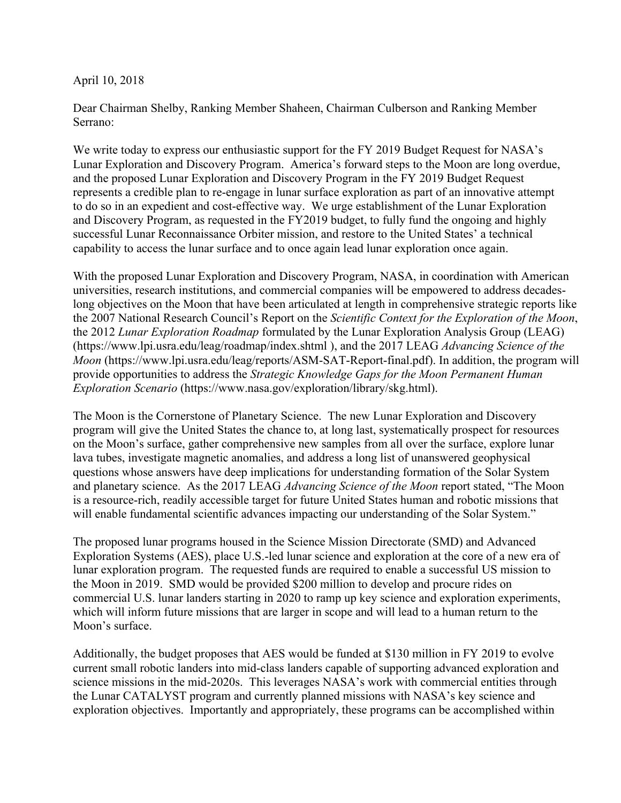April 10, 2018

Dear Chairman Shelby, Ranking Member Shaheen, Chairman Culberson and Ranking Member Serrano:

We write today to express our enthusiastic support for the FY 2019 Budget Request for NASA's Lunar Exploration and Discovery Program. America's forward steps to the Moon are long overdue, and the proposed Lunar Exploration and Discovery Program in the FY 2019 Budget Request represents a credible plan to re-engage in lunar surface exploration as part of an innovative attempt to do so in an expedient and cost-effective way. We urge establishment of the Lunar Exploration and Discovery Program, as requested in the FY2019 budget, to fully fund the ongoing and highly successful Lunar Reconnaissance Orbiter mission, and restore to the United States' a technical capability to access the lunar surface and to once again lead lunar exploration once again.

With the proposed Lunar Exploration and Discovery Program, NASA, in coordination with American universities, research institutions, and commercial companies will be empowered to address decadeslong objectives on the Moon that have been articulated at length in comprehensive strategic reports like the 2007 National Research Council's Report on the *Scientific Context for the Exploration of the Moon*, the 2012 *Lunar Exploration Roadmap* formulated by the Lunar Exploration Analysis Group (LEAG) (https://www.lpi.usra.edu/leag/roadmap/index.shtml ), and the 2017 LEAG *Advancing Science of the Moon* (https://www.lpi.usra.edu/leag/reports/ASM-SAT-Report-final.pdf). In addition, the program will provide opportunities to address the *Strategic Knowledge Gaps for the Moon Permanent Human Exploration Scenario* (https://www.nasa.gov/exploration/library/skg.html).

The Moon is the Cornerstone of Planetary Science. The new Lunar Exploration and Discovery program will give the United States the chance to, at long last, systematically prospect for resources on the Moon's surface, gather comprehensive new samples from all over the surface, explore lunar lava tubes, investigate magnetic anomalies, and address a long list of unanswered geophysical questions whose answers have deep implications for understanding formation of the Solar System and planetary science. As the 2017 LEAG *Advancing Science of the Moon* report stated, "The Moon is a resource-rich, readily accessible target for future United States human and robotic missions that will enable fundamental scientific advances impacting our understanding of the Solar System."

The proposed lunar programs housed in the Science Mission Directorate (SMD) and Advanced Exploration Systems (AES), place U.S.-led lunar science and exploration at the core of a new era of lunar exploration program. The requested funds are required to enable a successful US mission to the Moon in 2019. SMD would be provided \$200 million to develop and procure rides on commercial U.S. lunar landers starting in 2020 to ramp up key science and exploration experiments, which will inform future missions that are larger in scope and will lead to a human return to the Moon's surface.

Additionally, the budget proposes that AES would be funded at \$130 million in FY 2019 to evolve current small robotic landers into mid-class landers capable of supporting advanced exploration and science missions in the mid-2020s. This leverages NASA's work with commercial entities through the Lunar CATALYST program and currently planned missions with NASA's key science and exploration objectives. Importantly and appropriately, these programs can be accomplished within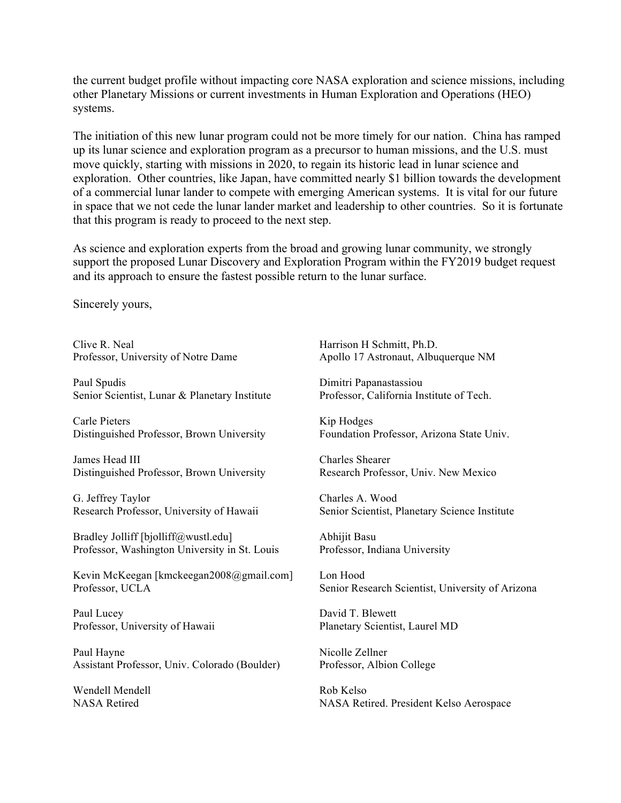the current budget profile without impacting core NASA exploration and science missions, including other Planetary Missions or current investments in Human Exploration and Operations (HEO) systems.

The initiation of this new lunar program could not be more timely for our nation. China has ramped up its lunar science and exploration program as a precursor to human missions, and the U.S. must move quickly, starting with missions in 2020, to regain its historic lead in lunar science and exploration. Other countries, like Japan, have committed nearly \$1 billion towards the development of a commercial lunar lander to compete with emerging American systems. It is vital for our future in space that we not cede the lunar lander market and leadership to other countries. So it is fortunate that this program is ready to proceed to the next step.

As science and exploration experts from the broad and growing lunar community, we strongly support the proposed Lunar Discovery and Exploration Program within the FY2019 budget request and its approach to ensure the fastest possible return to the lunar surface.

Sincerely yours,

Clive R. Neal Harrison H Schmitt, Ph.D.

Paul Spudis Dimitri Papanastassiou Senior Scientist, Lunar & Planetary Institute Professor, California Institute of Tech.

Carle Pieters Kip Hodges Distinguished Professor, Brown University Foundation Professor, Arizona State Univ.

James Head III Charles Shearer Distinguished Professor, Brown University Research Professor, Univ. New Mexico

G. Jeffrey Taylor Charles A. Wood

Bradley Jolliff [bjolliff@wustl.edu] Abhijit Basu Professor, Washington University in St. Louis Professor, Indiana University

Kevin McKeegan [kmckeegan2008@gmail.com] Lon Hood Professor, UCLA Senior Research Scientist, University of Arizona

Paul Lucey David T. Blewett Professor, University of Hawaii Planetary Scientist, Laurel MD

Paul Hayne Nicolle Zellner Assistant Professor, Univ. Colorado (Boulder) Professor, Albion College

Wendell Mendell **Mendell** Rob Kelso

Professor, University of Notre Dame Apollo 17 Astronaut, Albuquerque NM

Research Professor, University of Hawaii Senior Scientist, Planetary Science Institute

NASA Retired NASA Retired. President Kelso Aerospace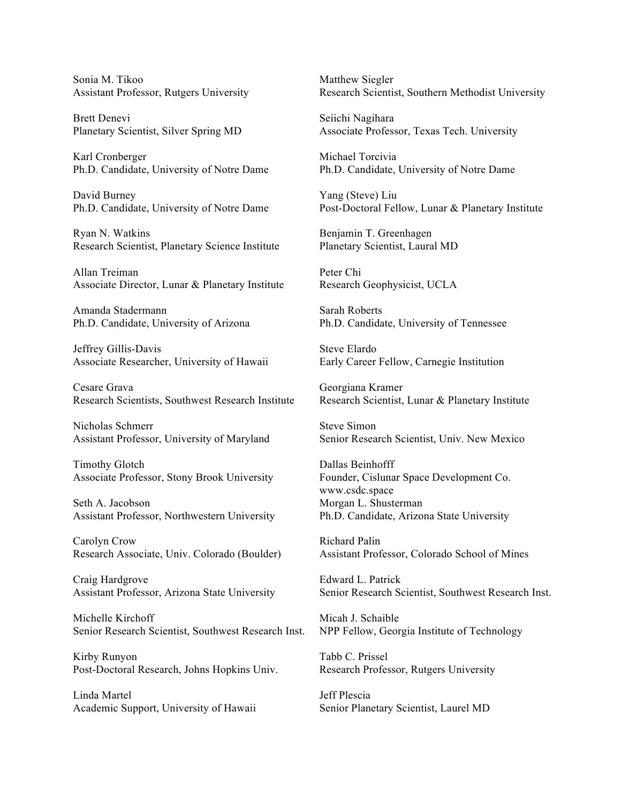Sonia M. Tikoo Matthew Siegler

Brett Denevi Seiichi Nagihara

Karl Cronberger Michael Torcivia Ph.D. Candidate, University of Notre Dame Ph.D. Candidate, University of Notre Dame

David Burney Yang (Steve) Liu

Ryan N. Watkins Benjamin T. Greenhagen Research Scientist, Planetary Science Institute Planetary Scientist, Laural MD

Allan Treiman Peter Chi Associate Director, Lunar & Planetary Institute Research Geophysicist, UCLA

Amanda Stadermann Sarah Roberts

Jeffrey Gillis-Davis Steve Elardo Associate Researcher, University of Hawaii Early Career Fellow, Carnegie Institution

Cesare Grava Georgiana Kramer Research Scientists, Southwest Research Institute Research Scientist, Lunar & Planetary Institute

Nicholas Schmerr Steve Simon

Timothy Glotch Dallas Beinhofff Associate Professor, Stony Brook University Founder, Cislunar Space Development Co.

Seth A. Jacobson Morgan L. Shusterman Assistant Professor, Northwestern University Ph.D. Candidate, Arizona State University

Carolyn Crow Richard Palin

Craig Hardgrove Edward L. Patrick

Michelle Kirchoff Michelle Kirchoff Michelle Micah J. Schaible Senior Research Scientist, Southwest Research Inst. NPP Fellow, Georgia Institute of Technology

Kirby Runyon Tabb C. Prissel Post-Doctoral Research, Johns Hopkins Univ. Research Professor, Rutgers University

Linda Martel **Institute Linda** Martel **Jeff Plescia** Academic Support, University of Hawaii Senior Planetary Scientist, Laurel MD

Assistant Professor, Rutgers University Research Scientist, Southern Methodist University

Planetary Scientist, Silver Spring MD Associate Professor, Texas Tech. University

Ph.D. Candidate, University of Notre Dame Post-Doctoral Fellow, Lunar & Planetary Institute

Ph.D. Candidate, University of Arizona Ph.D. Candidate, University of Tennessee

Assistant Professor, University of Maryland Senior Research Scientist, Univ. New Mexico

www.csdc.space

Research Associate, Univ. Colorado (Boulder) Assistant Professor, Colorado School of Mines

Assistant Professor, Arizona State University Senior Research Scientist, Southwest Research Inst.